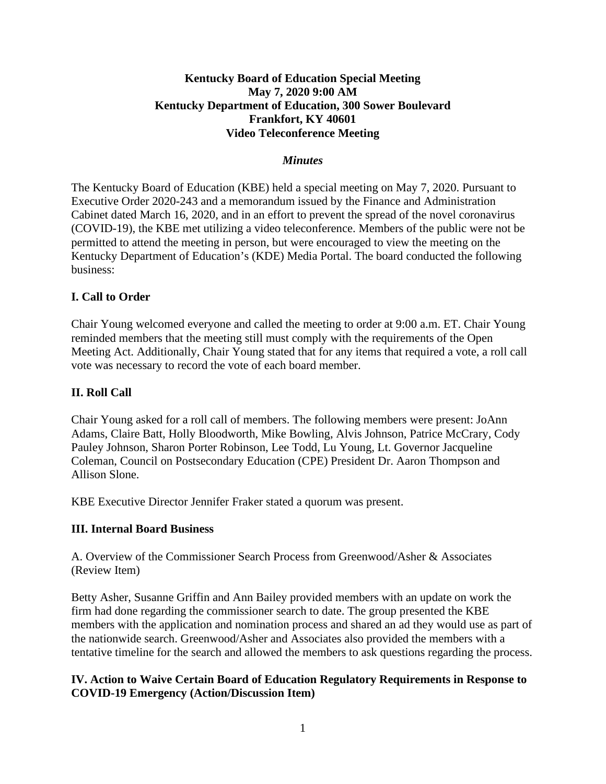## **Kentucky Board of Education Special Meeting May 7, 2020 9:00 AM Kentucky Department of Education, 300 Sower Boulevard Frankfort, KY 40601 Video Teleconference Meeting**

#### *Minutes*

The Kentucky Board of Education (KBE) held a special meeting on May 7, 2020. Pursuant to Executive Order 2020-243 and a memorandum issued by the Finance and Administration Cabinet dated March 16, 2020, and in an effort to prevent the spread of the novel coronavirus (COVID-19), the KBE met utilizing a video teleconference. Members of the public were not be permitted to attend the meeting in person, but were encouraged to view the meeting on the Kentucky Department of Education's (KDE) Media Portal. The board conducted the following business:

#### **I. Call to Order**

Chair Young welcomed everyone and called the meeting to order at 9:00 a.m. ET. Chair Young reminded members that the meeting still must comply with the requirements of the Open Meeting Act. Additionally, Chair Young stated that for any items that required a vote, a roll call vote was necessary to record the vote of each board member.

#### **II. Roll Call**

Chair Young asked for a roll call of members. The following members were present: JoAnn Adams, Claire Batt, Holly Bloodworth, Mike Bowling, Alvis Johnson, Patrice McCrary, Cody Pauley Johnson, Sharon Porter Robinson, Lee Todd, Lu Young, Lt. Governor Jacqueline Coleman, Council on Postsecondary Education (CPE) President Dr. Aaron Thompson and Allison Slone.

KBE Executive Director Jennifer Fraker stated a quorum was present.

#### **III. Internal Board Business**

A. Overview of the Commissioner Search Process from Greenwood/Asher & Associates (Review Item)

Betty Asher, Susanne Griffin and Ann Bailey provided members with an update on work the firm had done regarding the commissioner search to date. The group presented the KBE members with the application and nomination process and shared an ad they would use as part of the nationwide search. Greenwood/Asher and Associates also provided the members with a tentative timeline for the search and allowed the members to ask questions regarding the process.

### **IV. Action to Waive Certain Board of Education Regulatory Requirements in Response to COVID-19 Emergency (Action/Discussion Item)**